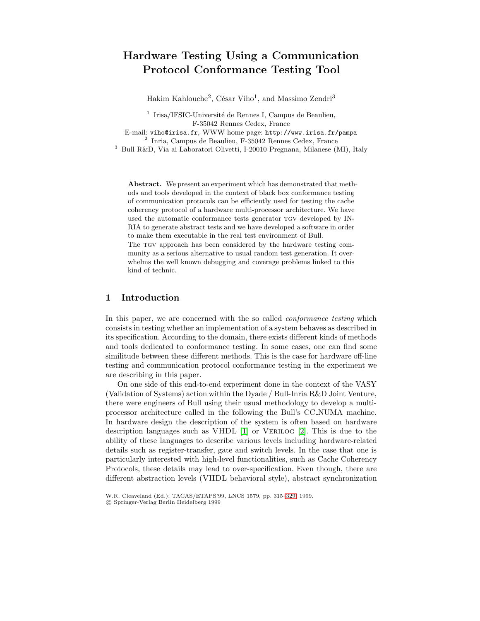# **Hardware Testing Using a Communication Protocol Conformance Testing Tool**

Hakim Kahlouche<sup>2</sup>, César Viho<sup>1</sup>, and Massimo Zendri<sup>3</sup>

<sup>1</sup> Irisa/IFSIC-Université de Rennes I, Campus de Beaulieu, F-35042 Rennes Cedex, France

E-mail: viho@irisa.fr, WWW home page: http://www.irisa.fr/pampa <sup>2</sup> Inria, Campus de Beaulieu, F-35042 Rennes Cedex, France

<sup>3</sup> Bull R&D, Via ai Laboratori Olivetti, I-20010 Pregnana, Milanese (MI), Italy

**Abstract.** We present an experiment which has demonstrated that methods and tools developed in the context of black box conformance testing of communication protocols can be efficiently used for testing the cache coherency protocol of a hardware multi-processor architecture. We have used the automatic conformance tests generator tgv developed by IN-RIA to generate abstract tests and we have developed a software in order to make them executable in the real test environment of Bull.

The TGV approach has been considered by the hardware testing community as a serious alternative to usual random test generation. It overwhelms the well known debugging and coverage problems linked to this kind of technic.

## **1 Introduction**

In this paper, we are concerned with the so called *conformance testing* which consists in testing whether an implementation of a system behaves as described in its specification. According to the domain, there exists different kinds of methods and tools dedicated to conformance testing. In some cases, one can find some similitude between these different methods. This is the case for hardware off-line testing and communication protocol conformance testing in the experiment we are describing in this paper.

On one side of this end-to-end experiment done in the context of the VASY (Validation of Systems) action within the Dyade / Bull-Inria R&D Joint Venture, there were engineers of Bull using their usual methodology to develop a multiprocessor architecture called in the following the Bull's CC NUMA machine. In hardware design the description of the system is often based on hardware description languages such as VHDL [\[1\]](#page-14-0) or Verilog [\[2\]](#page-14-1). This is due to the ability of these languages to describe various levels including hardware-related details such as register-transfer, gate and switch levels. In the case that one is particularly interested with high-level functionalities, such as Cache Coherency Protocols, these details may lead to over-specification. Even though, there are different abstraction levels (VHDL behavioral style), abstract synchronization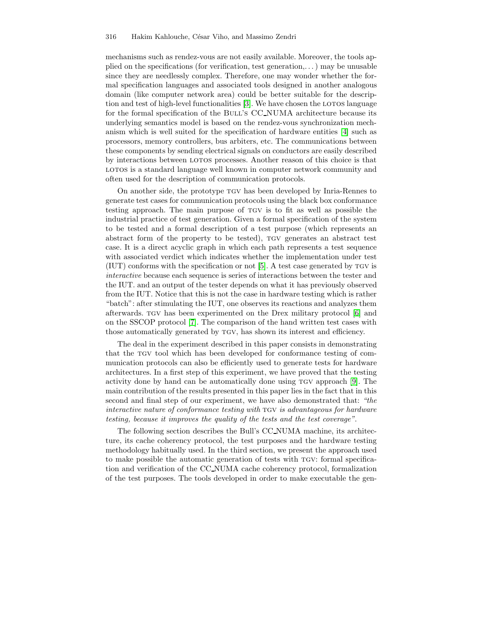mechanisms such as rendez-vous are not easily available. Moreover, the tools applied on the specifications (for verification, test generation,...) may be unusable since they are needlessly complex. Therefore, one may wonder whether the formal specification languages and associated tools designed in another analogous domain (like computer network area) could be better suitable for the descrip-tion and test of high-level functionalities [\[3\]](#page-14-3). We have chosen the LOTOS language for the formal specification of the BULL'S CC\_NUMA architecture because its underlying semantics model is based on the rendez-vous synchronization mechanism which is well suited for the specification of hardware entities [\[4\]](#page-14-4) such as processors, memory controllers, bus arbiters, etc. The communications between these components by sending electrical signals on conductors are easily described by interactions between LOTOS processes. Another reason of this choice is that LOTOS is a standard language well known in computer network community and often used for the description of communication protocols.

On another side, the prototype tgv has been developed by Inria-Rennes to generate test cases for communication protocols using the black box conformance testing approach. The main purpose of TGV is to fit as well as possible the industrial practice of test generation. Given a formal specification of the system to be tested and a formal description of a test purpose (which represents an abstract form of the property to be tested), TGV generates an abstract test case. It is a direct acyclic graph in which each path represents a test sequence with associated verdict which indicates whether the implementation under test  $(IVT)$  conforms with the specification or not [\[5\]](#page-14-5). A test case generated by TGV is *interactive* because each sequence is series of interactions between the tester and the IUT. and an output of the tester depends on what it has previously observed from the IUT. Notice that this is not the case in hardware testing which is rather "batch": after stimulating the IUT, one observes its reactions and analyzes them afterwards. tgv has been experimented on the Drex military protocol [\[6\]](#page-14-6) and on the SSCOP protocol [\[7\]](#page-14-7). The comparison of the hand written test cases with those automatically generated by tgv, has shown its interest and efficiency.

The deal in the experiment described in this paper consists in demonstrating that the TGV tool which has been developed for conformance testing of communication protocols can also be efficiently used to generate tests for hardware architectures. In a first step of this experiment, we have proved that the testing activity done by hand can be automatically done using tgv approach [\[9\]](#page-14-8). The main contribution of the results presented in this paper lies in the fact that in this second and final step of our experiment, we have also demonstrated that: *"the interactive nature of conformance testing with* TGV *is advantageous for hardware testing, because it improves the quality of the tests and the test coverage"*.

The following section describes the Bull's CC NUMA machine, its architecture, its cache coherency protocol, the test purposes and the hardware testing methodology habitually used. In the third section, we present the approach used to make possible the automatic generation of tests with TGV: formal specification and verification of the CC NUMA cache coherency protocol, formalization of the test purposes. The tools developed in order to make executable the gen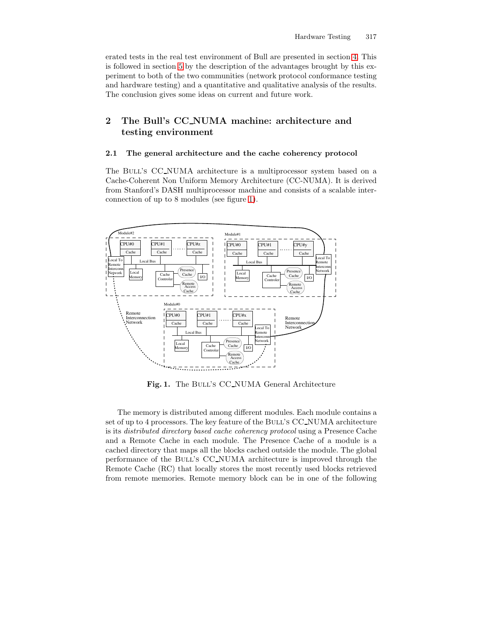erated tests in the real test environment of Bull are presented in section [4.](#page-9-0) This is followed in section [5](#page-12-0) by the description of the advantages brought by this experiment to both of the two communities (network protocol conformance testing and hardware testing) and a quantitative and qualitative analysis of the results. The conclusion gives some ideas on current and future work.

## **2 The Bull's CC NUMA machine: architecture and testing environment**

#### **2.1 The general architecture and the cache coherency protocol**

The BULL's CC\_NUMA architecture is a multiprocessor system based on a Cache-Coherent Non Uniform Memory Architecture (CC-NUMA). It is derived from Stanford's DASH multiprocessor machine and consists of a scalable interconnection of up to 8 modules (see figure [1\)](#page-2-0).



Fig. 1. The BULL'S CC\_NUMA General Architecture

<span id="page-2-0"></span>The memory is distributed among different modules. Each module contains a set of up to 4 processors. The key feature of the BULL'S CC\_NUMA architecture is its *distributed directory based cache coherency protocol* using a Presence Cache and a Remote Cache in each module. The Presence Cache of a module is a cached directory that maps all the blocks cached outside the module. The global performance of the Bull's CC NUMA architecture is improved through the Remote Cache (RC) that locally stores the most recently used blocks retrieved from remote memories. Remote memory block can be in one of the following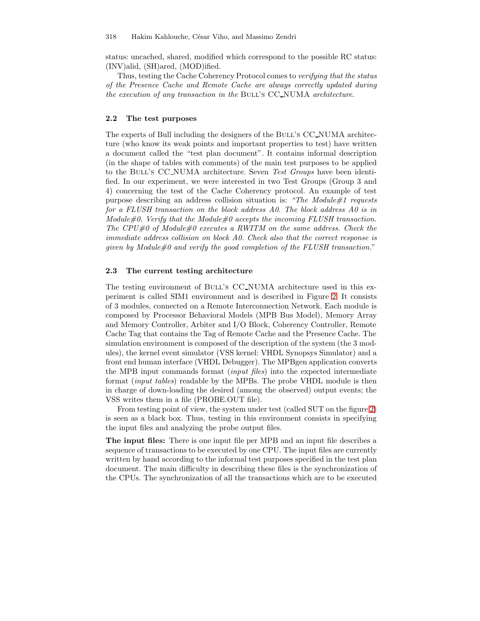status: uncached, shared, modified which correspond to the possible RC status: (INV)alid, (SH)ared, (MOD)ified.

Thus, testing the Cache Coherency Protocol comes to *verifying that the status of the Presence Cache and Remote Cache are always correctly updated during the execution of any transaction in the BULL'S CC\_NUMA architecture.* 

#### <span id="page-3-0"></span>**2.2 The test purposes**

The experts of Bull including the designers of the BULL'S CC\_NUMA architecture (who know its weak points and important properties to test) have written a document called the "test plan document". It contains informal description (in the shape of tables with comments) of the main test purposes to be applied to the Bull's CC NUMA architecture. Seven *Test Groups* have been identified. In our experiment, we were interested in two Test Groups (Group 3 and 4) concerning the test of the Cache Coherency protocol. An example of test purpose describing an address collision situation is: *"The Module#1 requests for a FLUSH transaction on the block address A0. The block address A0 is in Module#0. Verify that the Module#0 accepts the incoming FLUSH transaction. The CPU#0 of Module#0 executes a RWITM on the same address. Check the immediate address collision on block A0. Check also that the correct response is given by Module#0 and verify the good completion of the FLUSH transaction.*"

#### <span id="page-3-1"></span>**2.3 The current testing architecture**

The testing environment of BULL's CC\_NUMA architecture used in this experiment is called SIM1 environment and is described in Figure [2.](#page-4-0) It consists of 3 modules, connected on a Remote Interconnection Network. Each module is composed by Processor Behavioral Models (MPB Bus Model), Memory Array and Memory Controller, Arbiter and I/O Block, Coherency Controller, Remote Cache Tag that contains the Tag of Remote Cache and the Presence Cache. The simulation environment is composed of the description of the system (the 3 modules), the kernel event simulator (VSS kernel: VHDL Synopsys Simulator) and a front end human interface (VHDL Debugger). The MPBgen application converts the MPB input commands format (*input files*) into the expected intermediate format (*input tables*) readable by the MPBs. The probe VHDL module is then in charge of down-loading the desired (among the observed) output events; the VSS writes them in a file (PROBE.OUT file).

From testing point of view, the system under test (called SUT on the figure [2\)](#page-4-0) is seen as a black box. Thus, testing in this environment consists in specifying the input files and analyzing the probe output files.

**The input files:** There is one input file per MPB and an input file describes a sequence of transactions to be executed by one CPU. The input files are currently written by hand according to the informal test purposes specified in the test plan document. The main difficulty in describing these files is the synchronization of the CPUs. The synchronization of all the transactions which are to be executed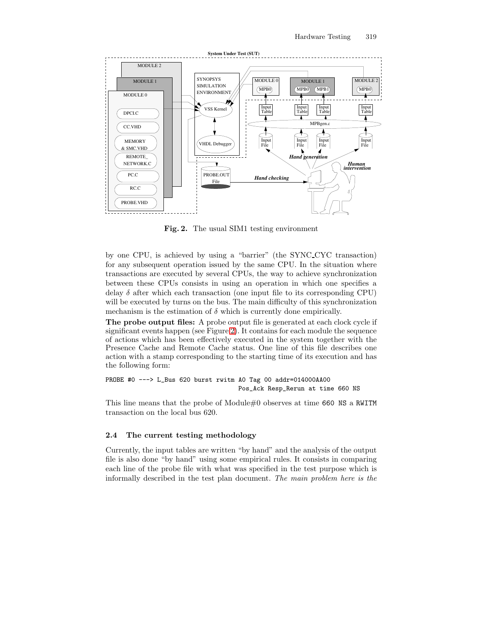

<span id="page-4-0"></span>**Fig. 2.** The usual SIM1 testing environment

by one CPU, is achieved by using a "barrier" (the SYNC CYC transaction) for any subsequent operation issued by the same CPU. In the situation where transactions are executed by several CPUs, the way to achieve synchronization between these CPUs consists in using an operation in which one specifies a delay  $\delta$  after which each transaction (one input file to its corresponding CPU) will be executed by turns on the bus. The main difficulty of this synchronization mechanism is the estimation of  $\delta$  which is currently done empirically.

**The probe output files:** A probe output file is generated at each clock cycle if significant events happen (see Figure [2\)](#page-4-0). It contains for each module the sequence of actions which has been effectively executed in the system together with the Presence Cache and Remote Cache status. One line of this file describes one action with a stamp corresponding to the starting time of its execution and has the following form:

```
PROBE #0 ---> L_Bus 620 burst rwitm A0 Tag 00 addr=014000AA00
                                    Pos_Ack Resp_Rerun at time 660 NS
```
This line means that the probe of Module#0 observes at time 660 NS a RWITM transaction on the local bus 620.

### **2.4 The current testing methodology**

Currently, the input tables are written "by hand" and the analysis of the output file is also done "by hand" using some empirical rules. It consists in comparing each line of the probe file with what was specified in the test purpose which is informally described in the test plan document. *The main problem here is the*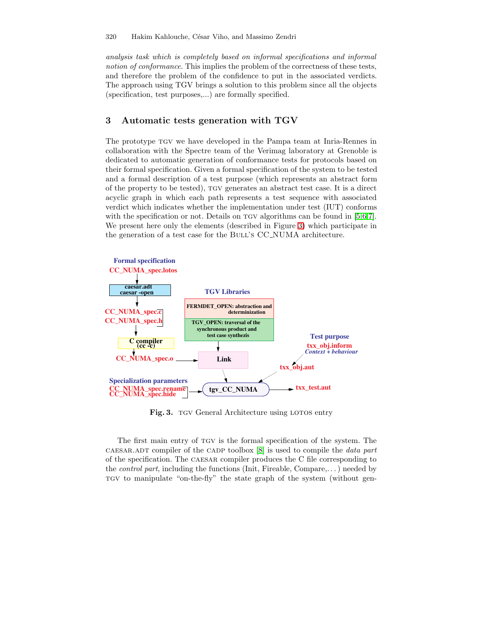*analysis task which is completely based on informal specifications and informal notion of conformance*. This implies the problem of the correctness of these tests, and therefore the problem of the confidence to put in the associated verdicts. The approach using TGV brings a solution to this problem since all the objects (specification, test purposes,...) are formally specified.

### <span id="page-5-1"></span>**3 Automatic tests generation with TGV**

The prototype tgv we have developed in the Pampa team at Inria-Rennes in collaboration with the Spectre team of the Verimag laboratory at Grenoble is dedicated to automatic generation of conformance tests for protocols based on their formal specification. Given a formal specification of the system to be tested and a formal description of a test purpose (which represents an abstract form of the property to be tested), tgv generates an abstract test case. It is a direct acyclic graph in which each path represents a test sequence with associated verdict which indicates whether the implementation under test (IUT) conforms with the specification or not. Details on TGV algorithms can be found in [\[5](#page-14-5)[,6](#page-14-6)[,7\]](#page-14-7). We present here only the elements (described in Figure [3\)](#page-5-0) which participate in the generation of a test case for the BULL'S CC\_NUMA architecture.



Fig. 3. TGV General Architecture using LOTOS entry

<span id="page-5-0"></span>The first main entry of TGV is the formal specification of the system. The caesar.adt compiler of the cadp toolbox [\[8\]](#page-14-9) is used to compile the *data part* of the specification. The caesar compiler produces the C file corresponding to the *control part*, including the functions (Init, Fireable, Compare,. . . ) needed by TGV to manipulate "on-the-fly" the state graph of the system (without gen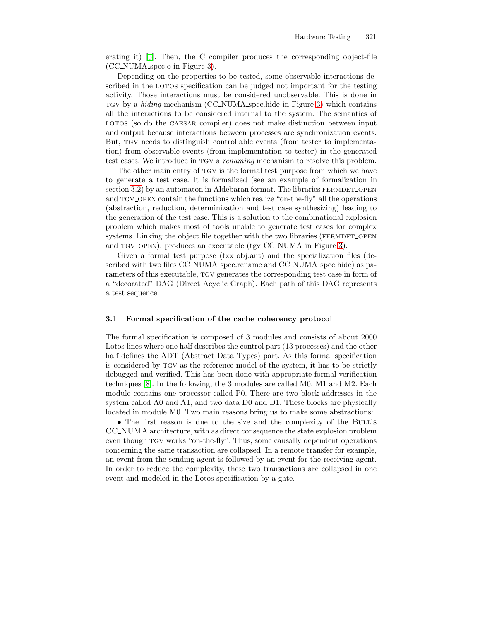erating it) [\[5\]](#page-14-5). Then, the C compiler produces the corresponding object-file (CC NUMA spec.o in Figure [3\)](#page-5-0).

Depending on the properties to be tested, some observable interactions described in the LOTOS specification can be judged not important for the testing activity. Those interactions must be considered unobservable. This is done in tgv by a *hiding* mechanism (CC NUMA spec.hide in Figure [3\)](#page-5-0) which contains all the interactions to be considered internal to the system. The semantics of lotos (so do the caesar compiler) does not make distinction between input and output because interactions between processes are synchronization events. But, tgv needs to distinguish controllable events (from tester to implementation) from observable events (from implementation to tester) in the generated test cases. We introduce in tgv a *renaming* mechanism to resolve this problem.

The other main entry of TGV is the formal test purpose from which we have to generate a test case. It is formalized (see an example of formalization in section  $3.2$ ) by an automaton in Aldebaran format. The libraries FERMDET OPEN and TGV\_OPEN contain the functions which realize "on-the-fly" all the operations (abstraction, reduction, determinization and test case synthesizing) leading to the generation of the test case. This is a solution to the combinational explosion problem which makes most of tools unable to generate test cases for complex systems. Linking the object file together with the two libraries (FERMDET-OPEN and TGV\_OPEN), produces an executable (tgv\_CC\_NUMA in Figure [3\)](#page-5-0).

Given a formal test purpose (txx obj.aut) and the specialization files (described with two files CC NUMA spec.rename and CC NUMA spec.hide) as parameters of this executable, TGV generates the corresponding test case in form of a "decorated" DAG (Direct Acyclic Graph). Each path of this DAG represents a test sequence.

#### <span id="page-6-0"></span>**3.1 Formal specification of the cache coherency protocol**

The formal specification is composed of 3 modules and consists of about 2000 Lotos lines where one half describes the control part (13 processes) and the other half defines the ADT (Abstract Data Types) part. As this formal specification is considered by TGV as the reference model of the system, it has to be strictly debugged and verified. This has been done with appropriate formal verification techniques [\[8\]](#page-14-9). In the following, the 3 modules are called M0, M1 and M2. Each module contains one processor called P0. There are two block addresses in the system called A0 and A1, and two data D0 and D1. These blocks are physically located in module M0. Two main reasons bring us to make some abstractions:

• The first reason is due to the size and the complexity of the BULL's CC NUMA architecture, with as direct consequence the state explosion problem even though TGV works "on-the-fly". Thus, some causally dependent operations concerning the same transaction are collapsed. In a remote transfer for example, an event from the sending agent is followed by an event for the receiving agent. In order to reduce the complexity, these two transactions are collapsed in one event and modeled in the Lotos specification by a gate.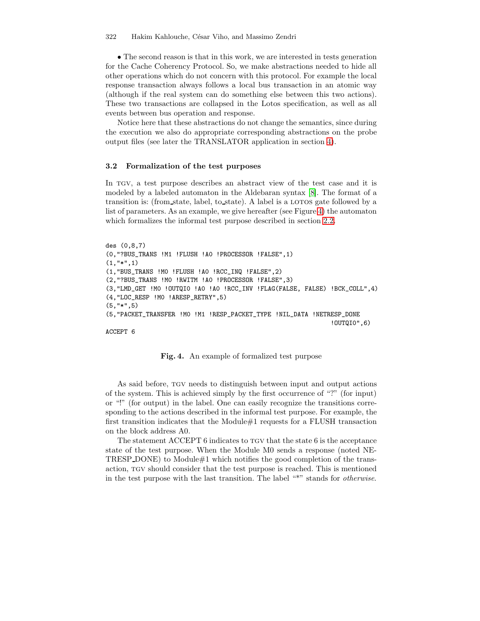• The second reason is that in this work, we are interested in tests generation for the Cache Coherency Protocol. So, we make abstractions needed to hide all other operations which do not concern with this protocol. For example the local response transaction always follows a local bus transaction in an atomic way (although if the real system can do something else between this two actions). These two transactions are collapsed in the Lotos specification, as well as all events between bus operation and response.

Notice here that these abstractions do not change the semantics, since during the execution we also do appropriate corresponding abstractions on the probe output files (see later the TRANSLATOR application in section [4\)](#page-9-0).

#### <span id="page-7-0"></span>**3.2 Formalization of the test purposes**

In the rest purpose describes an abstract view of the test case and it is modeled by a labeled automaton in the Aldebaran syntax [\[8\]](#page-14-9). The format of a transition is: (from state, label, to state). A label is a LOTOS gate followed by a list of parameters. As an example, we give hereafter (see Figure [4\)](#page-7-1) the automaton which formalizes the informal test purpose described in section [2.2.](#page-3-0)

```
des (0,8,7)
(0,"?BUS_TRANS !M1 !FLUSH !A0 !PROCESSOR !FALSE",1)
(1, "*", 1)(1,"BUS_TRANS !M0 !FLUSH !A0 !RCC_INQ !FALSE",2)
(2,"?BUS_TRANS !M0 !RWITM !A0 !PROCESSOR !FALSE",3)
(3,"LMD_GET !M0 !OUTQI0 !A0 !A0 !RCC_INV !FLAG(FALSE, FALSE) !BCK_COLL",4)
(4,"LOC_RESP !M0 !ARESP_RETRY",5)
(5, "*", 5)(5,"PACKET_TRANSFER !M0 !M1 !RESP_PACKET_TYPE !NIL_DATA !NETRESP_DONE
                                                               !OUTQI0",6)
ACCEPT 6
```
<span id="page-7-1"></span>**Fig. 4.** An example of formalized test purpose

As said before, TGV needs to distinguish between input and output actions of the system. This is achieved simply by the first occurrence of "?" (for input) or "!" (for output) in the label. One can easily recognize the transitions corresponding to the actions described in the informal test purpose. For example, the first transition indicates that the Module#1 requests for a FLUSH transaction on the block address A0.

The statement ACCEPT 6 indicates to TGV that the state 6 is the acceptance state of the test purpose. When the Module M0 sends a response (noted NE-TRESP DONE) to Module#1 which notifies the good completion of the transaction, tgv should consider that the test purpose is reached. This is mentioned in the test purpose with the last transition. The label "\*" stands for *otherwise*.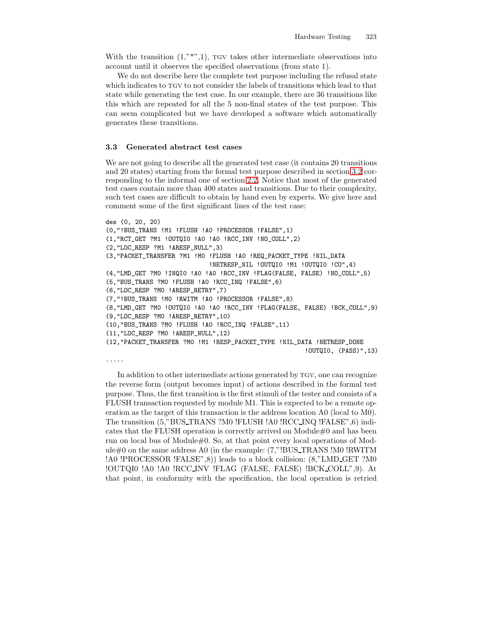With the transition  $(1, \n<sup>*</sup>, 1)$ , TGV takes other intermediate observations into account until it observes the specified observations (from state 1).

We do not describe here the complete test purpose including the refusal state which indicates to TGV to not consider the labels of transitions which lead to that state while generating the test case. In our example, there are 36 transitions like this which are repeated for all the 5 non-final states of the test purpose. This can seem complicated but we have developed a software which automatically generates these transitions.

#### <span id="page-8-0"></span>**3.3 Generated abstract test cases**

We are not going to describe all the generated test case (it contains 20 transitions and 20 states) starting from the formal test purpose described in section [3.2](#page-7-0) corresponding to the informal one of section [2.2.](#page-3-0) Notice that most of the generated test cases contain more than 400 states and transitions. Due to their complexity, such test cases are difficult to obtain by hand even by experts. We give here and comment some of the first significant lines of the test case:

```
des (0, 20, 20)
(0,"!BUS_TRANS !M1 !FLUSH !A0 !PROCESSOR !FALSE",1)
(1,"RCT_GET ?M1 !OUTQI0 !A0 !A0 !RCC_INV !NO_COLL",2)
(2,"LOC_RESP ?M1 !ARESP_NULL",3)
(3,"PACKET_TRANSFER ?M1 !M0 !FLUSH !A0 !REQ_PACKET_TYPE !NIL_DATA
                            !NETRESP_NIL !OUTQI0 !M1 !OUTQI0 !CO",4)
(4,"LMD_GET ?M0 !INQI0 !A0 !A0 !RCC_INV !FLAG(FALSE, FALSE) !NO_COLL",5)
(5,"BUS_TRANS ?M0 !FLUSH !A0 !RCC_INQ !FALSE",6)
(6,"LOC_RESP ?M0 !ARESP_RETRY",7)
(7,"!BUS_TRANS !M0 !RWITM !A0 !PROCESSOR !FALSE",8)
(8,"LMD_GET ?M0 !OUTQI0 !A0 !A0 !RCC_INV !FLAG(FALSE, FALSE) !BCK_COLL",9)
(9,"LOC_RESP ?M0 !ARESP_RETRY",10)
(10,"BUS_TRANS ?M0 !FLUSH !A0 !RCC_INQ !FALSE",11)
(11,"LOC_RESP ?M0 !ARESP_NULL",12)
(12,"PACKET_TRANSFER ?M0 !M1 !RESP_PACKET_TYPE !NIL_DATA !NETRESP_DONE
                                                       !OUTQI0, (PASS)",13)
```
.....

In addition to other intermediate actions generated by tgv, one can recognize the reverse form (output becomes input) of actions described in the formal test purpose. Thus, the first transition is the first stimuli of the tester and consists of a FLUSH transaction requested by module M1. This is expected to be a remote operation as the target of this transaction is the address location A0 (local to M0). The transition (5,"BUS TRANS ?M0 !FLUSH !A0 !RCC INQ !FALSE",6) indicates that the FLUSH operation is correctly arrived on Module#0 and has been run on local bus of Module#0. So, at that point every local operations of Module#0 on the same address A0 (in the example: (7,"!BUS TRANS !M0 !RWITM !A0 !PROCESSOR !FALSE",8)) leads to a block collision: (8,"LMD GET ?M0 !OUTQI0 !A0 !A0 !RCC INV !FLAG (FALSE, FALSE) !BCK COLL",9). At that point, in conformity with the specification, the local operation is retried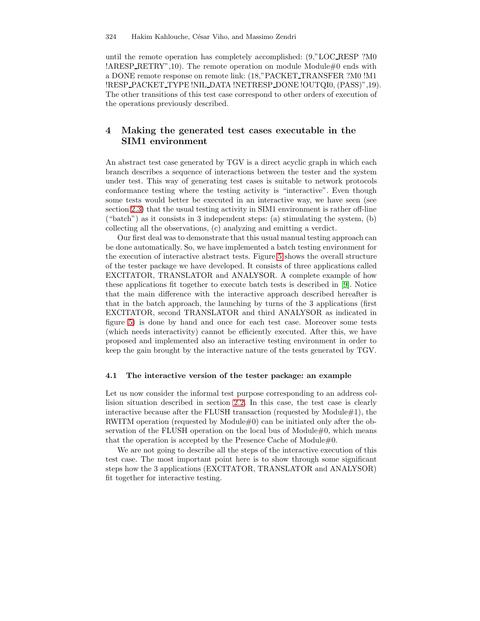until the remote operation has completely accomplished: (9,"LOC RESP ?M0 !ARESP RETRY",10). The remote operation on module Module#0 ends with a DONE remote response on remote link: (18,"PACKET TRANSFER ?M0 !M1 !RESP PACKET TYPE !NIL DATA !NETRESP DONE !OUTQI0, (PASS)",19). The other transitions of this test case correspond to other orders of execution of the operations previously described.

## <span id="page-9-0"></span>**4 Making the generated test cases executable in the SIM1 environment**

An abstract test case generated by TGV is a direct acyclic graph in which each branch describes a sequence of interactions between the tester and the system under test. This way of generating test cases is suitable to network protocols conformance testing where the testing activity is "interactive". Even though some tests would better be executed in an interactive way, we have seen (see section [2.3\)](#page-3-1) that the usual testing activity in SIM1 environment is rather off-line ("batch") as it consists in 3 independent steps: (a) stimulating the system, (b) collecting all the observations, (c) analyzing and emitting a verdict.

Our first deal was to demonstrate that this usual manual testing approach can be done automatically. So, we have implemented a batch testing environment for the execution of interactive abstract tests. Figure [5](#page-10-0) shows the overall structure of the tester package we have developed. It consists of three applications called EXCITATOR, TRANSLATOR and ANALYSOR. A complete example of how these applications fit together to execute batch tests is described in [\[9\]](#page-14-8). Notice that the main difference with the interactive approach described hereafter is that in the batch approach, the launching by turns of the 3 applications (first EXCITATOR, second TRANSLATOR and third ANALYSOR as indicated in figure [5\)](#page-10-0) is done by hand and once for each test case. Moreover some tests (which needs interactivity) cannot be efficiently executed. After this, we have proposed and implemented also an interactive testing environment in order to keep the gain brought by the interactive nature of the tests generated by TGV.

#### **4.1 The interactive version of the tester package: an example**

Let us now consider the informal test purpose corresponding to an address collision situation described in section [2.2.](#page-3-0) In this case, the test case is clearly interactive because after the FLUSH transaction (requested by Module $\#1$ ), the RWITM operation (requested by Module#0) can be initiated only after the observation of the FLUSH operation on the local bus of Module $\#0$ , which means that the operation is accepted by the Presence Cache of Module#0.

We are not going to describe all the steps of the interactive execution of this test case. The most important point here is to show through some significant steps how the 3 applications (EXCITATOR, TRANSLATOR and ANALYSOR) fit together for interactive testing.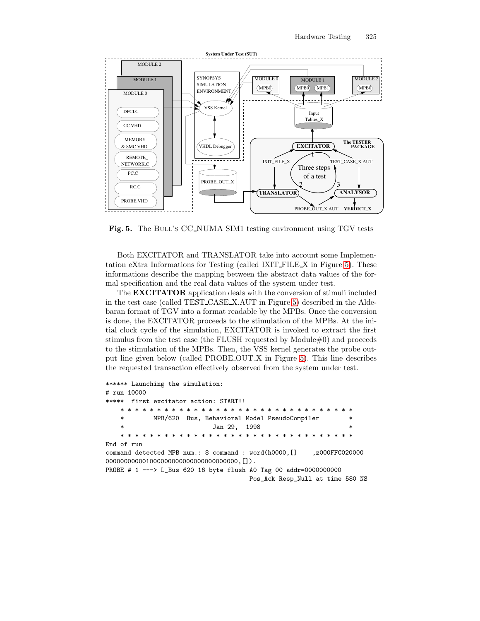

<span id="page-10-0"></span>Fig. 5. The BULL'S CC\_NUMA SIM1 testing environment using TGV tests

Both EXCITATOR and TRANSLATOR take into account some Implementation eXtra Informations for Testing (called IXIT FILE X in Figure [5\)](#page-10-0). These informations describe the mapping between the abstract data values of the formal specification and the real data values of the system under test.

The **EXCITATOR** application deals with the conversion of stimuli included in the test case (called TEST CASE X.AUT in Figure [5\)](#page-10-0) described in the Aldebaran format of TGV into a format readable by the MPBs. Once the conversion is done, the EXCITATOR proceeds to the stimulation of the MPBs. At the initial clock cycle of the simulation, EXCITATOR is invoked to extract the first stimulus from the test case (the FLUSH requested by  $Module#0$ ) and proceeds to the stimulation of the MPBs. Then, the VSS kernel generates the probe output line given below (called PROBE OUT X in Figure [5\)](#page-10-0). This line describes the requested transaction effectively observed from the system under test.

```
****** Launching the simulation:
# run 10000
      first excitator action: START!!
   ********************************
           MPB/620 Bus, Behavioral Model PseudoCompiler
                         Jan 29, 1998
   ********************************
End of run
command detected MPB num.: 8 command : word(h0000,[] ,z000FFC020000
000000000001000000000000000000000000,[]).
PROBE # 1 ---> L_Bus 620 16 byte flush A0 Tag 00 addr=0000000000
                                  Pos_Ack Resp_Null at time 580 NS
```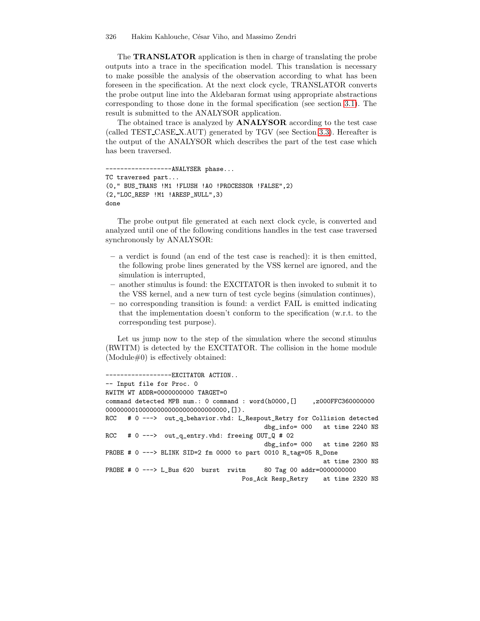The **TRANSLATOR** application is then in charge of translating the probe outputs into a trace in the specification model. This translation is necessary to make possible the analysis of the observation according to what has been foreseen in the specification. At the next clock cycle, TRANSLATOR converts the probe output line into the Aldebaran format using appropriate abstractions corresponding to those done in the formal specification (see section [3.1\)](#page-6-0). The result is submitted to the ANALYSOR application.

The obtained trace is analyzed by **ANALYSOR** according to the test case (called TEST CASE X.AUT) generated by TGV (see Section [3.3\)](#page-8-0). Hereafter is the output of the ANALYSOR which describes the part of the test case which has been traversed.

```
-------------------ANALYSER phase...
TC traversed part...
(0," BUS_TRANS !M1 !FLUSH !A0 !PROCESSOR !FALSE",2)
(2,"LOC_RESP !M1 !ARESP_NULL",3)
done
```
The probe output file generated at each next clock cycle, is converted and analyzed until one of the following conditions handles in the test case traversed synchronously by ANALYSOR:

- **–** a verdict is found (an end of the test case is reached): it is then emitted, the following probe lines generated by the VSS kernel are ignored, and the simulation is interrupted,
- **–** another stimulus is found: the EXCITATOR is then invoked to submit it to the VSS kernel, and a new turn of test cycle begins (simulation continues),
- **–** no corresponding transition is found: a verdict FAIL is emitted indicating that the implementation doesn't conform to the specification (w.r.t. to the corresponding test purpose).

Let us jump now to the step of the simulation where the second stimulus (RWITM) is detected by the EXCITATOR. The collision in the home module (Module#0) is effectively obtained:

```
------------------EXCITATOR ACTION..
-- Input file for Proc. 0
RWITM WT ADDR=0000000000 TARGET=0
command detected MPB num.: 0 command : word(h0000,[] ,z000FFC360000000
000000001000000000000000000000000,[]).
RCC # 0 ---> out_q_behavior.vhd: L_Respout_Retry for Collision detected
                                          dbg_info= 000 at time 2240 NS
RCC # 0 ---> out_q_entry.vhd: freeing OUT_Q # 02
                                          dbg_info= 000 at time 2260 NS
PROBE # 0 ---> BLINK SID=2 fm 0000 to part 0010 R_tag=05 R_Done
                                                         at time 2300 NS
PROBE # 0 ---> L_Bus 620 burst rwitm 80 Tag 00 addr=0000000000
                                    Pos_Ack Resp_Retry at time 2320 NS
```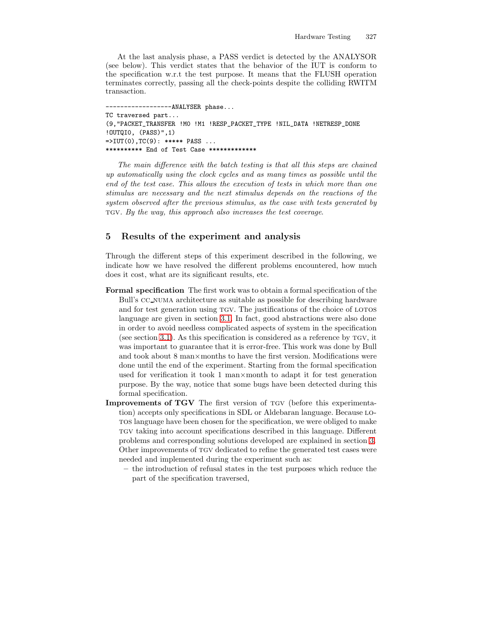At the last analysis phase, a PASS verdict is detected by the ANALYSOR (see below). This verdict states that the behavior of the IUT is conform to the specification w.r.t the test purpose. It means that the FLUSH operation terminates correctly, passing all the check-points despite the colliding RWITM transaction.

-------------ANALYSER phase... TC traversed part... (9."PACKET TRANSFER !MO !M1 !RESP PACKET TYPE !NIL DATA !NETRESP DONE !OUTQI0, (PASS)",1)  $=$ >IUT(0),TC(9): \*\*\*\*\* PASS ... \*\*\*\*\*\*\*\*\*\* End of Test Case \*\*\*\*\*\*\*\*\*\*\*\*\*

*The main difference with the batch testing is that all this steps are chained up automatically using the clock cycles and as many times as possible until the end of the test case. This allows the execution of tests in which more than one stimulus are necessary and the next stimulus depends on the reactions of the system observed after the previous stimulus, as the case with tests generated by* tgv*. By the way, this approach also increases the test coverage*.

## <span id="page-12-0"></span>**5 Results of the experiment and analysis**

Through the different steps of this experiment described in the following, we indicate how we have resolved the different problems encountered, how much does it cost, what are its significant results, etc.

- **Formal specification** The first work was to obtain a formal specification of the Bull's CC\_NUMA architecture as suitable as possible for describing hardware and for test generation using TGV. The justifications of the choice of LOTOS language are given in section [3.1.](#page-6-0) In fact, good abstractions were also done in order to avoid needless complicated aspects of system in the specification (see section [3.1\)](#page-6-0). As this specification is considered as a reference by tgv, it was important to guarantee that it is error-free. This work was done by Bull and took about 8 man×months to have the first version. Modifications were done until the end of the experiment. Starting from the formal specification used for verification it took 1 man $\times$ month to adapt it for test generation purpose. By the way, notice that some bugs have been detected during this formal specification.
- **Improvements of TGV** The first version of TGV (before this experimentation) accepts only specifications in SDL or Aldebaran language. Because lotos language have been chosen for the specification, we were obliged to make tgv taking into account specifications described in this language. Different problems and corresponding solutions developed are explained in section [3.](#page-5-1) Other improvements of TGV dedicated to refine the generated test cases were needed and implemented during the experiment such as:
	- **–** the introduction of refusal states in the test purposes which reduce the part of the specification traversed,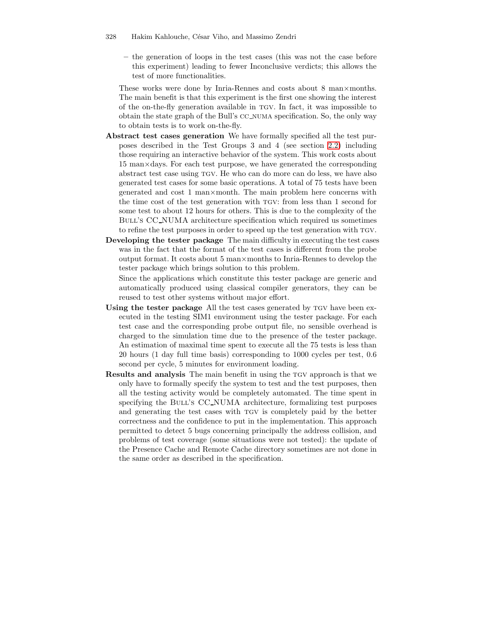**–** the generation of loops in the test cases (this was not the case before this experiment) leading to fewer Inconclusive verdicts; this allows the test of more functionalities.

These works were done by Inria-Rennes and costs about 8 man×months. The main benefit is that this experiment is the first one showing the interest of the on-the-fly generation available in tgv. In fact, it was impossible to obtain the state graph of the Bull's cc numa specification. So, the only way to obtain tests is to work on-the-fly.

- **Abstract test cases generation** We have formally specified all the test purposes described in the Test Groups 3 and 4 (see section [2.2\)](#page-3-0) including those requiring an interactive behavior of the system. This work costs about  $15 \text{ man} \times \text{days}$ . For each test purpose, we have generated the corresponding abstract test case using TGV. He who can do more can do less, we have also generated test cases for some basic operations. A total of 75 tests have been generated and cost 1 man×month. The main problem here concerns with the time cost of the test generation with tgv: from less than 1 second for some test to about 12 hours for others. This is due to the complexity of the BULL'S CC\_NUMA architecture specification which required us sometimes to refine the test purposes in order to speed up the test generation with tgv.
- **Developing the tester package** The main difficulty in executing the test cases was in the fact that the format of the test cases is different from the probe output format. It costs about 5 man×months to Inria-Rennes to develop the tester package which brings solution to this problem.

Since the applications which constitute this tester package are generic and automatically produced using classical compiler generators, they can be reused to test other systems without major effort.

- Using the tester package All the test cases generated by TGV have been executed in the testing SIM1 environment using the tester package. For each test case and the corresponding probe output file, no sensible overhead is charged to the simulation time due to the presence of the tester package. An estimation of maximal time spent to execute all the 75 tests is less than 20 hours (1 day full time basis) corresponding to 1000 cycles per test, 0.6 second per cycle, 5 minutes for environment loading.
- **Results and analysis** The main benefit in using the TGV approach is that we only have to formally specify the system to test and the test purposes, then all the testing activity would be completely automated. The time spent in specifying the BULL'S CC\_NUMA architecture, formalizing test purposes and generating the test cases with tgv is completely paid by the better correctness and the confidence to put in the implementation. This approach permitted to detect 5 bugs concerning principally the address collision, and problems of test coverage (some situations were not tested): the update of the Presence Cache and Remote Cache directory sometimes are not done in the same order as described in the specification.